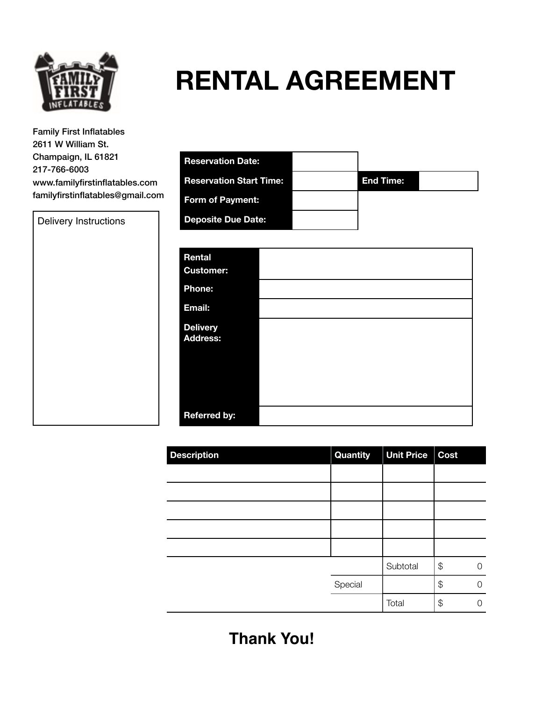

# **RENTAL AGREEMENT**

Family First Inflatables 2611 W William St. Champaign, IL 61821 217-766-6003 www.familyfirstinflatables.c familyfirstinflatables@gmai

Delivery Instructions

|               | <b>Reservation Date:</b>       |                  |  |
|---------------|--------------------------------|------------------|--|
| com<br>il.com | <b>Reservation Start Time:</b> | <b>End Time:</b> |  |
|               | <b>Form of Payment:</b>        |                  |  |
|               | <b>Deposite Due Date:</b>      |                  |  |
|               |                                |                  |  |

| Rental<br><b>Customer:</b>         |  |
|------------------------------------|--|
| Phone:                             |  |
| Email:                             |  |
| <b>Delivery</b><br><b>Address:</b> |  |
| <b>Referred by:</b>                |  |

| <b>Description</b> | Quantity | <b>Unit Price</b> | Cost |   |
|--------------------|----------|-------------------|------|---|
|                    |          |                   |      |   |
|                    |          |                   |      |   |
|                    |          |                   |      |   |
|                    |          |                   |      |   |
|                    |          |                   |      |   |
|                    |          | Subtotal          | \$   | O |
|                    | Special  |                   | \$   | ∩ |
|                    |          | Total             | \$   | Ω |

**Thank You!**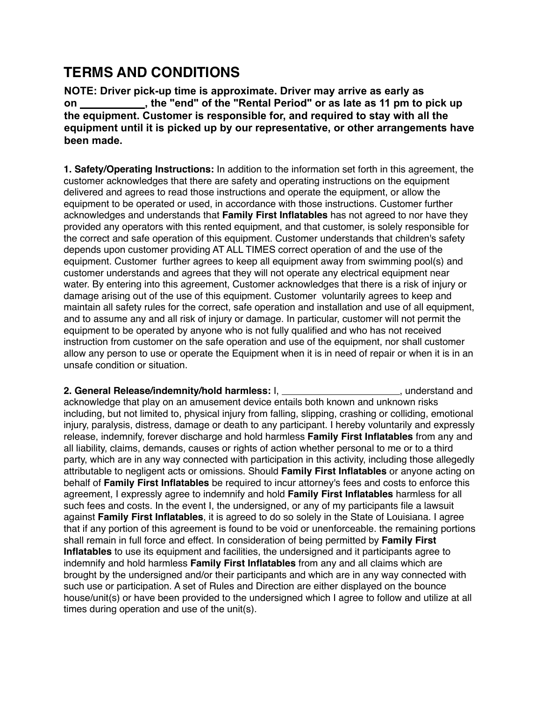## **TERMS AND CONDITIONS**

**NOTE: Driver pick-up time is approximate. Driver may arrive as early as on , the "end" of the "Rental Period" or as late as 11 pm to pick up the equipment. Customer is responsible for, and required to stay with all the equipment until it is picked up by our representative, or other arrangements have been made.** 

**1. Safety/Operating Instructions:** In addition to the information set forth in this agreement, the customer acknowledges that there are safety and operating instructions on the equipment delivered and agrees to read those instructions and operate the equipment, or allow the equipment to be operated or used, in accordance with those instructions. Customer further acknowledges and understands that **Family First Inflatables** has not agreed to nor have they provided any operators with this rented equipment, and that customer, is solely responsible for the correct and safe operation of this equipment. Customer understands that children's safety depends upon customer providing AT ALL TIMES correct operation of and the use of the equipment. Customer further agrees to keep all equipment away from swimming pool(s) and customer understands and agrees that they will not operate any electrical equipment near water. By entering into this agreement, Customer acknowledges that there is a risk of injury or damage arising out of the use of this equipment. Customer voluntarily agrees to keep and maintain all safety rules for the correct, safe operation and installation and use of all equipment, and to assume any and all risk of injury or damage. In particular, customer will not permit the equipment to be operated by anyone who is not fully qualified and who has not received instruction from customer on the safe operation and use of the equipment, nor shall customer allow any person to use or operate the Equipment when it is in need of repair or when it is in an unsafe condition or situation.

**2. General Release/indemnity/hold harmless:** I, **the substantial example and graduate and graduate and graduate and graduate and graduate and graduate and graduate and graduate and graduate and graduate and graduate and g** acknowledge that play on an amusement device entails both known and unknown risks including, but not limited to, physical injury from falling, slipping, crashing or colliding, emotional injury, paralysis, distress, damage or death to any participant. I hereby voluntarily and expressly release, indemnify, forever discharge and hold harmless **Family First Inflatables** from any and all liability, claims, demands, causes or rights of action whether personal to me or to a third party, which are in any way connected with participation in this activity, including those allegedly attributable to negligent acts or omissions. Should **Family First Inflatables** or anyone acting on behalf of **Family First Inflatables** be required to incur attorney's fees and costs to enforce this agreement, I expressly agree to indemnify and hold **Family First Inflatables** harmless for all such fees and costs. In the event I, the undersigned, or any of my participants file a lawsuit against **Family First Inflatables**, it is agreed to do so solely in the State of Louisiana. I agree that if any portion of this agreement is found to be void or unenforceable. the remaining portions shall remain in full force and effect. In consideration of being permitted by **Family First Inflatables** to use its equipment and facilities, the undersigned and it participants agree to indemnify and hold harmless **Family First Inflatables** from any and all claims which are brought by the undersigned and/or their participants and which are in any way connected with such use or participation. A set of Rules and Direction are either displayed on the bounce house/unit(s) or have been provided to the undersigned which I agree to follow and utilize at all times during operation and use of the unit(s).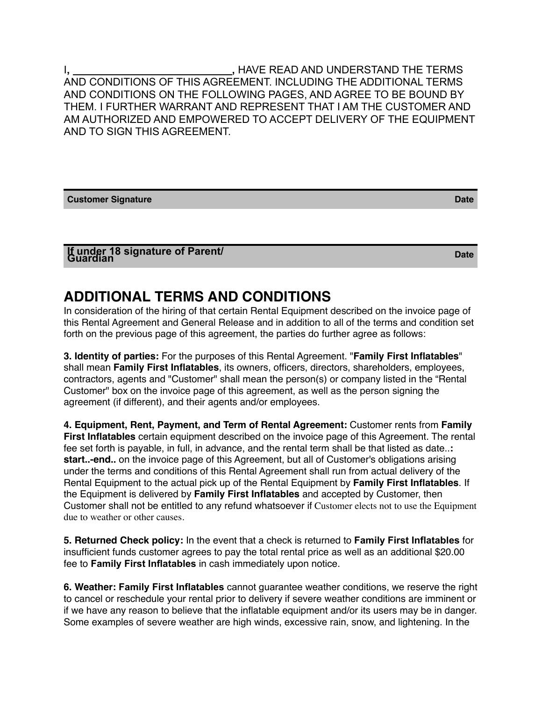I**, ,** HAVE READ AND UNDERSTAND THE TERMS AND CONDITIONS OF THIS AGREEMENT. INCLUDING THE ADDITIONAL TERMS AND CONDITIONS ON THE FOLLOWING PAGES, AND AGREE TO BE BOUND BY THEM. I FURTHER WARRANT AND REPRESENT THAT I AM THE CUSTOMER AND AM AUTHORIZED AND EMPOWERED TO ACCEPT DELIVERY OF THE EQUIPMENT AND TO SIGN THIS AGREEMENT.

**Customer Signature Date** 

## **If under 18 signature of Parent/ Guardian Date**

## **ADDITIONAL TERMS AND CONDITIONS**

In consideration of the hiring of that certain Rental Equipment described on the invoice page of this Rental Agreement and General Release and in addition to all of the terms and condition set forth on the previous page of this agreement, the parties do further agree as follows:

**3. Identity of parties:** For the purposes of this Rental Agreement. "**Family First Inflatables**" shall mean **Family First Inflatables**, its owners, officers, directors, shareholders, employees, contractors, agents and "Customer" shall mean the person(s) or company listed in the "Rental Customer" box on the invoice page of this agreement, as well as the person signing the agreement (if different), and their agents and/or employees.

**4. Equipment, Rent, Payment, and Term of Rental Agreement:** Customer rents from **Family First Inflatables** certain equipment described on the invoice page of this Agreement. The rental fee set forth is payable, in full, in advance, and the rental term shall be that listed as date..**: start..-end..** on the invoice page of this Agreement, but all of Customer's obligations arising under the terms and conditions of this Rental Agreement shall run from actual delivery of the Rental Equipment to the actual pick up of the Rental Equipment by **Family First Inflatables**. If the Equipment is delivered by **Family First Inflatables** and accepted by Customer, then Customer shall not be entitled to any refund whatsoever if Customer elects not to use the Equipment due to weather or other causes.

**5. Returned Check policy:** In the event that a check is returned to **Family First Inflatables** for insufficient funds customer agrees to pay the total rental price as well as an additional \$20.00 fee to **Family First Inflatables** in cash immediately upon notice.

**6. Weather: Family First Inflatables** cannot guarantee weather conditions, we reserve the right to cancel or reschedule your rental prior to delivery if severe weather conditions are imminent or if we have any reason to believe that the inflatable equipment and/or its users may be in danger. Some examples of severe weather are high winds, excessive rain, snow, and lightening. In the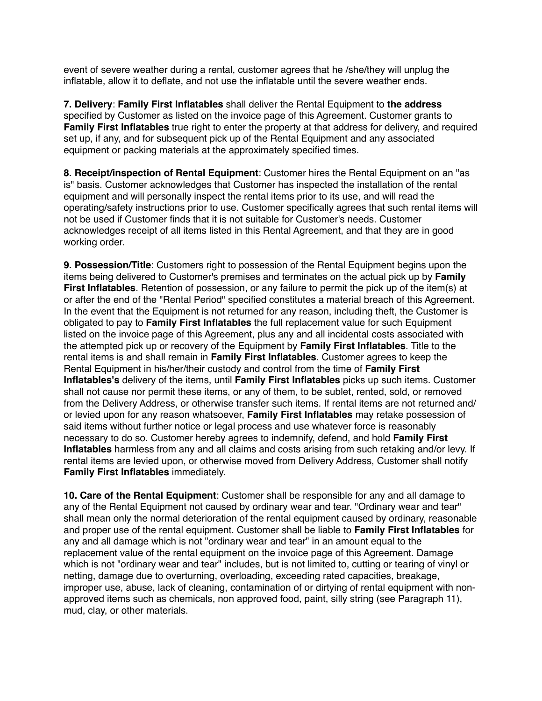event of severe weather during a rental, customer agrees that he /she/they will unplug the inflatable, allow it to deflate, and not use the inflatable until the severe weather ends.

**7. Delivery**: **Family First Inflatables** shall deliver the Rental Equipment to **the address**  specified by Customer as listed on the invoice page of this Agreement. Customer grants to **Family First Inflatables** true right to enter the property at that address for delivery, and required set up, if any, and for subsequent pick up of the Rental Equipment and any associated equipment or packing materials at the approximately specified times.

**8. Receipt/inspection of Rental Equipment**: Customer hires the Rental Equipment on an "as is" basis. Customer acknowledges that Customer has inspected the installation of the rental equipment and will personally inspect the rental items prior to its use, and will read the operating/safety instructions prior to use. Customer specifically agrees that such rental items will not be used if Customer finds that it is not suitable for Customer's needs. Customer acknowledges receipt of all items listed in this Rental Agreement, and that they are in good working order.

**9. Possession/Title**: Customers right to possession of the Rental Equipment begins upon the items being delivered to Customer's premises and terminates on the actual pick up by **Family First Inflatables**. Retention of possession, or any failure to permit the pick up of the item(s) at or after the end of the "Rental Period" specified constitutes a material breach of this Agreement. In the event that the Equipment is not returned for any reason, including theft, the Customer is obligated to pay to **Family First Inflatables** the full replacement value for such Equipment listed on the invoice page of this Agreement, plus any and all incidental costs associated with the attempted pick up or recovery of the Equipment by **Family First Inflatables**. Title to the rental items is and shall remain in **Family First Inflatables**. Customer agrees to keep the Rental Equipment in his/her/their custody and control from the time of **Family First Inflatables's** delivery of the items, until **Family First Inflatables** picks up such items. Customer shall not cause nor permit these items, or any of them, to be sublet, rented, sold, or removed from the Delivery Address, or otherwise transfer such items. If rental items are not returned and/ or levied upon for any reason whatsoever, **Family First Inflatables** may retake possession of said items without further notice or legal process and use whatever force is reasonably necessary to do so. Customer hereby agrees to indemnify, defend, and hold **Family First Inflatables** harmless from any and all claims and costs arising from such retaking and/or levy. If rental items are levied upon, or otherwise moved from Delivery Address, Customer shall notify **Family First Inflatables** immediately.

**10. Care of the Rental Equipment**: Customer shall be responsible for any and all damage to any of the Rental Equipment not caused by ordinary wear and tear. "Ordinary wear and tear" shall mean only the normal deterioration of the rental equipment caused by ordinary, reasonable and proper use of the rental equipment. Customer shall be liable to **Family First Inflatables** for any and all damage which is not "ordinary wear and tear" in an amount equal to the replacement value of the rental equipment on the invoice page of this Agreement. Damage which is not "ordinary wear and tear" includes, but is not limited to, cutting or tearing of vinyl or netting, damage due to overturning, overloading, exceeding rated capacities, breakage, improper use, abuse, lack of cleaning, contamination of or dirtying of rental equipment with nonapproved items such as chemicals, non approved food, paint, silly string (see Paragraph 11), mud, clay, or other materials.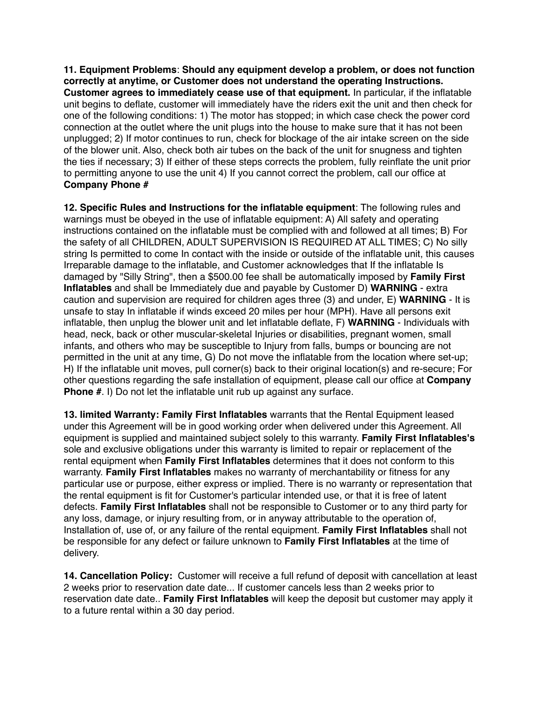**11. Equipment Problems**: **Should any equipment develop a problem, or does not function correctly at anytime, or Customer does not understand the operating Instructions. Customer agrees to immediately cease use of that equipment.** In particular, if the inflatable unit begins to deflate, customer will immediately have the riders exit the unit and then check for one of the following conditions: 1) The motor has stopped; in which case check the power cord connection at the outlet where the unit plugs into the house to make sure that it has not been unplugged; 2) If motor continues to run, check for blockage of the air intake screen on the side of the blower unit. Also, check both air tubes on the back of the unit for snugness and tighten the ties if necessary; 3) If either of these steps corrects the problem, fully reinflate the unit prior to permitting anyone to use the unit 4) If you cannot correct the problem, call our office at **Company Phone #**

**12. Specific Rules and Instructions for the inflatable equipment**: The following rules and warnings must be obeyed in the use of inflatable equipment: A) All safety and operating instructions contained on the inflatable must be complied with and followed at all times; B) For the safety of all CHILDREN, ADULT SUPERVISION IS REQUIRED AT ALL TIMES; C) No silly string Is permitted to come In contact with the inside or outside of the inflatable unit, this causes Irreparable damage to the inflatable, and Customer acknowledges that If the inflatable Is damaged by "Silly String", then a \$500.00 fee shall be automatically imposed by **Family First Inflatables** and shall be Immediately due and payable by Customer D) **WARNING** - extra caution and supervision are required for children ages three (3) and under, E) **WARNING** - It is unsafe to stay In inflatable if winds exceed 20 miles per hour (MPH). Have all persons exit inflatable, then unplug the blower unit and let inflatable deflate, F) **WARNING** - Individuals with head, neck, back or other muscular-skeletal Injuries or disabilities, pregnant women, small infants, and others who may be susceptible to Injury from falls, bumps or bouncing are not permitted in the unit at any time, G) Do not move the inflatable from the location where set-up; H) If the inflatable unit moves, pull corner(s) back to their original location(s) and re-secure; For other questions regarding the safe installation of equipment, please call our office at **Company Phone #.** I) Do not let the inflatable unit rub up against any surface.

**13. limited Warranty: Family First Inflatables** warrants that the Rental Equipment leased under this Agreement will be in good working order when delivered under this Agreement. All equipment is supplied and maintained subject solely to this warranty. **Family First Inflatables's**  sole and exclusive obligations under this warranty is limited to repair or replacement of the rental equipment when **Family First Inflatables** determines that it does not conform to this warranty. **Family First Inflatables** makes no warranty of merchantability or fitness for any particular use or purpose, either express or implied. There is no warranty or representation that the rental equipment is fit for Customer's particular intended use, or that it is free of latent defects. **Family First Inflatables** shall not be responsible to Customer or to any third party for any loss, damage, or injury resulting from, or in anyway attributable to the operation of, Installation of, use of, or any failure of the rental equipment. **Family First Inflatables** shall not be responsible for any defect or failure unknown to **Family First Inflatables** at the time of delivery.

**14. Cancellation Policy:** Customer will receive a full refund of deposit with cancellation at least 2 weeks prior to reservation date date... If customer cancels less than 2 weeks prior to reservation date date.. **Family First Inflatables** will keep the deposit but customer may apply it to a future rental within a 30 day period.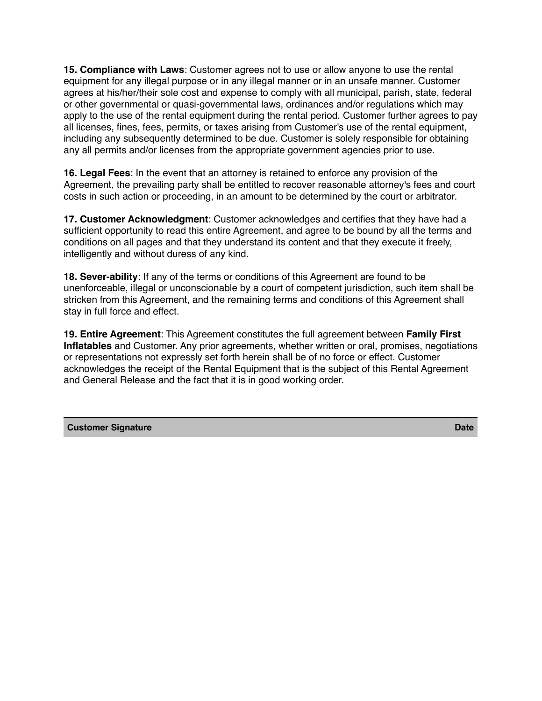**15. Compliance with Laws**: Customer agrees not to use or allow anyone to use the rental equipment for any illegal purpose or in any illegal manner or in an unsafe manner. Customer agrees at his/her/their sole cost and expense to comply with all municipal, parish, state, federal or other governmental or quasi-governmental laws, ordinances and/or regulations which may apply to the use of the rental equipment during the rental period. Customer further agrees to pay all licenses, fines, fees, permits, or taxes arising from Customer's use of the rental equipment, including any subsequently determined to be due. Customer is solely responsible for obtaining any all permits and/or licenses from the appropriate government agencies prior to use.

**16. Legal Fees**: In the event that an attorney is retained to enforce any provision of the Agreement, the prevailing party shall be entitled to recover reasonable attorney's fees and court costs in such action or proceeding, in an amount to be determined by the court or arbitrator.

**17. Customer Acknowledgment**: Customer acknowledges and certifies that they have had a sufficient opportunity to read this entire Agreement, and agree to be bound by all the terms and conditions on all pages and that they understand its content and that they execute it freely, intelligently and without duress of any kind.

**18. Sever-ability**: If any of the terms or conditions of this Agreement are found to be unenforceable, illegal or unconscionable by a court of competent jurisdiction, such item shall be stricken from this Agreement, and the remaining terms and conditions of this Agreement shall stay in full force and effect.

**19. Entire Agreement**: This Agreement constitutes the full agreement between **Family First Inflatables** and Customer. Any prior agreements, whether written or oral, promises, negotiations or representations not expressly set forth herein shall be of no force or effect. Customer acknowledges the receipt of the Rental Equipment that is the subject of this Rental Agreement and General Release and the fact that it is in good working order.

#### **Customer Signature Date**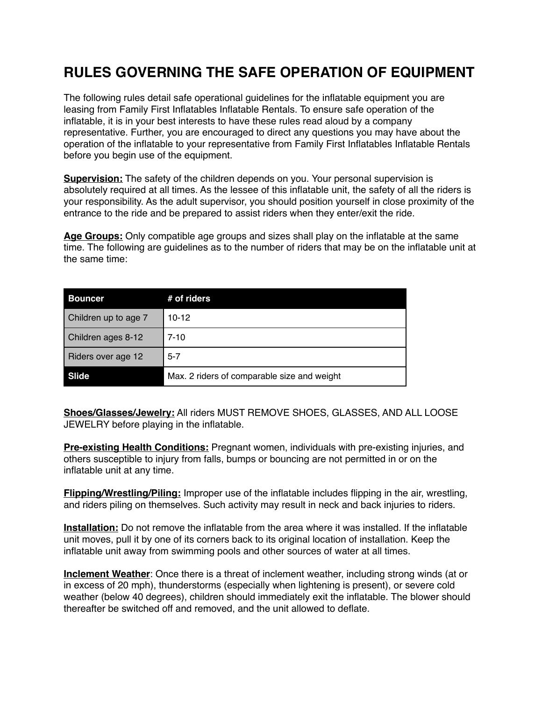## **RULES GOVERNING THE SAFE OPERATION OF EQUIPMENT**

The following rules detail safe operational guidelines for the inflatable equipment you are leasing from Family First Inflatables Inflatable Rentals. To ensure safe operation of the inflatable, it is in your best interests to have these rules read aloud by a company representative. Further, you are encouraged to direct any questions you may have about the operation of the inflatable to your representative from Family First Inflatables Inflatable Rentals before you begin use of the equipment.

**Supervision:** The safety of the children depends on you. Your personal supervision is absolutely required at all times. As the lessee of this inflatable unit, the safety of all the riders is your responsibility. As the adult supervisor, you should position yourself in close proximity of the entrance to the ride and be prepared to assist riders when they enter/exit the ride.

**Age Groups:** Only compatible age groups and sizes shall play on the inflatable at the same time. The following are guidelines as to the number of riders that may be on the inflatable unit at the same time:

| <b>Bouncer</b>       | # of riders                                 |
|----------------------|---------------------------------------------|
| Children up to age 7 | $10-12$                                     |
| Children ages 8-12   | $7 - 10$                                    |
| Riders over age 12   | $5 - 7$                                     |
| Slide                | Max. 2 riders of comparable size and weight |

**Shoes/Glasses/Jewelry:** All riders MUST REMOVE SHOES, GLASSES, AND ALL LOOSE JEWELRY before playing in the inflatable.

**Pre-existing Health Conditions:** Pregnant women, individuals with pre-existing injuries, and others susceptible to injury from falls, bumps or bouncing are not permitted in or on the inflatable unit at any time.

**Flipping/Wrestling/Piling:** Improper use of the inflatable includes flipping in the air, wrestling, and riders piling on themselves. Such activity may result in neck and back injuries to riders.

**Installation:** Do not remove the inflatable from the area where it was installed. If the inflatable unit moves, pull it by one of its corners back to its original location of installation. Keep the inflatable unit away from swimming pools and other sources of water at all times.

**Inclement Weather**: Once there is a threat of inclement weather, including strong winds (at or in excess of 20 mph), thunderstorms (especially when lightening is present), or severe cold weather (below 40 degrees), children should immediately exit the inflatable. The blower should thereafter be switched off and removed, and the unit allowed to deflate.